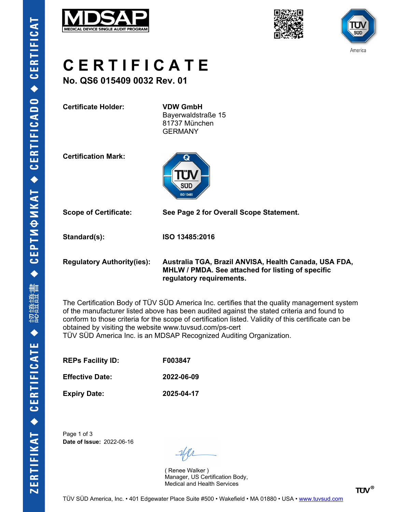





**C E R T I F I C A T E**

**No. QS6 015409 0032 Rev. 01**

**Certificate Holder: VDW GmbH**

Bayerwaldstraße 15 81737 München GERMANY

**Certification Mark:**



**Scope of Certificate: See Page 2 for Overall Scope Statement.**

**Standard(s): ISO 13485:2016**

**Regulatory Authority(ies): Australia TGA, Brazil ANVISA, Health Canada, USA FDA, MHLW / PMDA. See attached for listing of specific regulatory requirements.**

The Certification Body of TÜV SÜD America Inc. certifies that the quality management system of the manufacturer listed above has been audited against the stated criteria and found to conform to those criteria for the scope of certification listed. Validity of this certificate can be obtained by visiting the website www.tuvsud.com/ps-cert TÜV SÜD America Inc. is an MDSAP Recognized Auditing Organization.

**REPs Facility ID: F003847**

**Effective Date: 2022-06-09**

**Expiry Date: 2025-04-17**

Page 1 of 3 **Date of Issue:** 2022-06-16

( Renee Walker ) Manager, US Certification Body, Medical and Health Services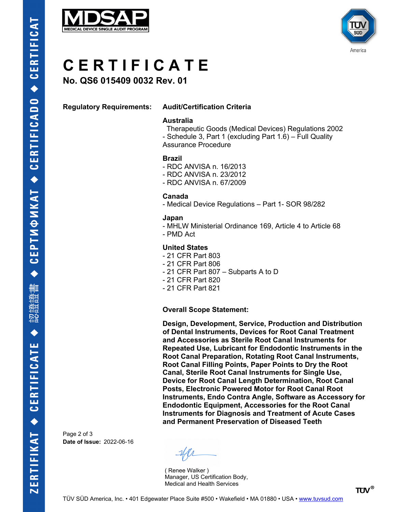



# **C E R T I F I C A T E**

**No. QS6 015409 0032 Rev. 01**

# **Regulatory Requirements: Audit/Certification Criteria**

### **Australia**

 Therapeutic Goods (Medical Devices) Regulations 2002 - Schedule 3, Part 1 (excluding Part 1.6) – Full Quality Assurance Procedure

# **Brazil**

- RDC ANVISA n. 16/2013
- RDC ANVISA n. 23/2012
- RDC ANVISA n. 67/2009

#### **Canada**

- Medical Device Regulations – Part 1- SOR 98/282

#### **Japan**

- MHLW Ministerial Ordinance 169, Article 4 to Article 68
- PMD Act

# **United States**

- 21 CFR Part 803
- 21 CFR Part 806
- 21 CFR Part 807 Subparts A to D
- 21 CFR Part 820
- 21 CFR Part 821

#### **Overall Scope Statement:**

**Design, Development, Service, Production and Distribution of Dental Instruments, Devices for Root Canal Treatment and Accessories as Sterile Root Canal Instruments for Repeated Use, Lubricant for Endodontic Instruments in the Root Canal Preparation, Rotating Root Canal Instruments, Root Canal Filling Points, Paper Points to Dry the Root Canal, Sterile Root Canal Instruments for Single Use, Device for Root Canal Length Determination, Root Canal Posts, Electronic Powered Motor for Root Canal Root Instruments, Endo Contra Angle, Software as Accessory for Endodontic Equipment, Accessories for the Root Canal Instruments for Diagnosis and Treatment of Acute Cases and Permanent Preservation of Diseased Teeth**

Page 2 of 3 **Date of Issue:** 2022-06-16

( Renee Walker ) Manager, US Certification Body, Medical and Health Services

**TÜV®**